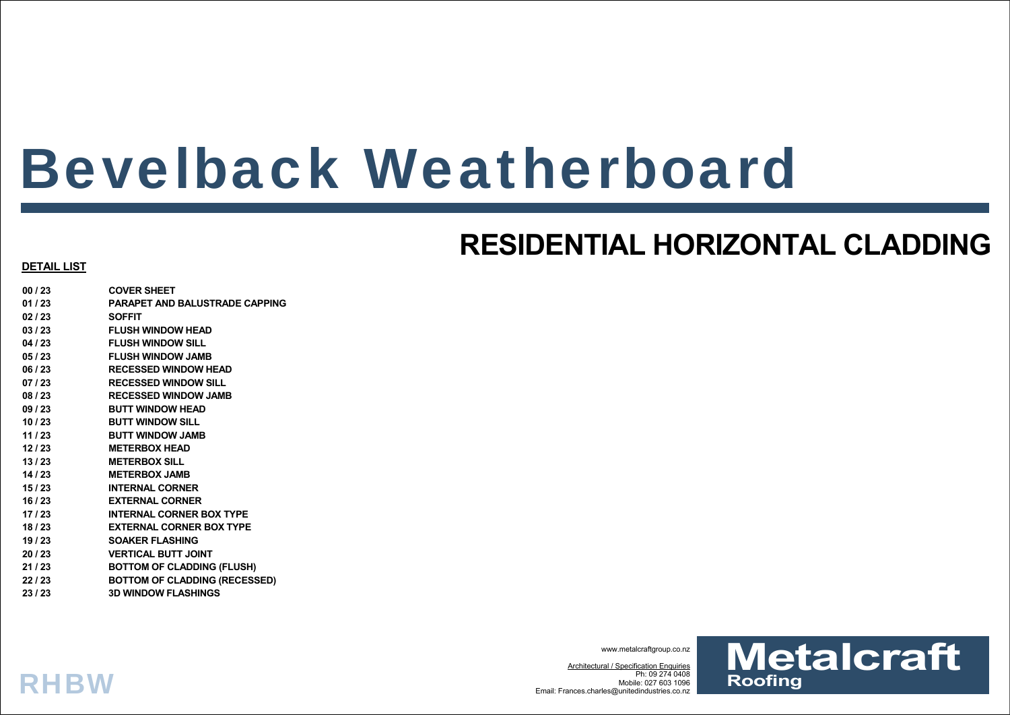# Bevelback Weatherboard

## **RESIDENTIAL HORIZONTAL CLADDING**

### **DETAIL LIST**

**RHBW** 

**00 / 23 COVER SHEET 01 / 23 PARAPET AND BALUSTRADE CAPPING 02 / 23 SOFFIT 03 / 23 FLUSH WINDOW HEAD 04 / 23 FLUSH WINDOW SILL 05 / 23 FLUSH WINDOW JAMB 06 / 23 RECESSED WINDOW HEAD 07 / 23 RECESSED WINDOW SILL 08 / 23 RECESSED WINDOW JAMB 09 / 23 BUTT WINDOW HEAD 10 / 23 BUTT WINDOW SILL 11 / 23 BUTT WINDOW JAMB 12 / 23 METERBOX HEAD 13 / 23 METERBOX SILL 14 / 23 METERBOX JAMB 15 / 23 INTERNAL CORNER 16 / 23 EXTERNAL CORNER 17 / 23 INTERNAL CORNER BOX TYPE 18 / 23 EXTERNAL CORNER BOX TYPE 19 / 23 SOAKER FLASHING 20 / 23 VERTICAL BUTT JOINT 21 / 23 BOTTOM OF CLADDING (FLUSH) 22 / 23 BOTTOM OF CLADDING (RECESSED) 23 / 23 3D WINDOW FLASHINGS**

www.metalcraftgroup.co.nz

Architectural / Specification Enquiries Ph: 09 274 0408 Mobile: 027 603 1096Email: Frances.charles@unitedindustries.co.nz

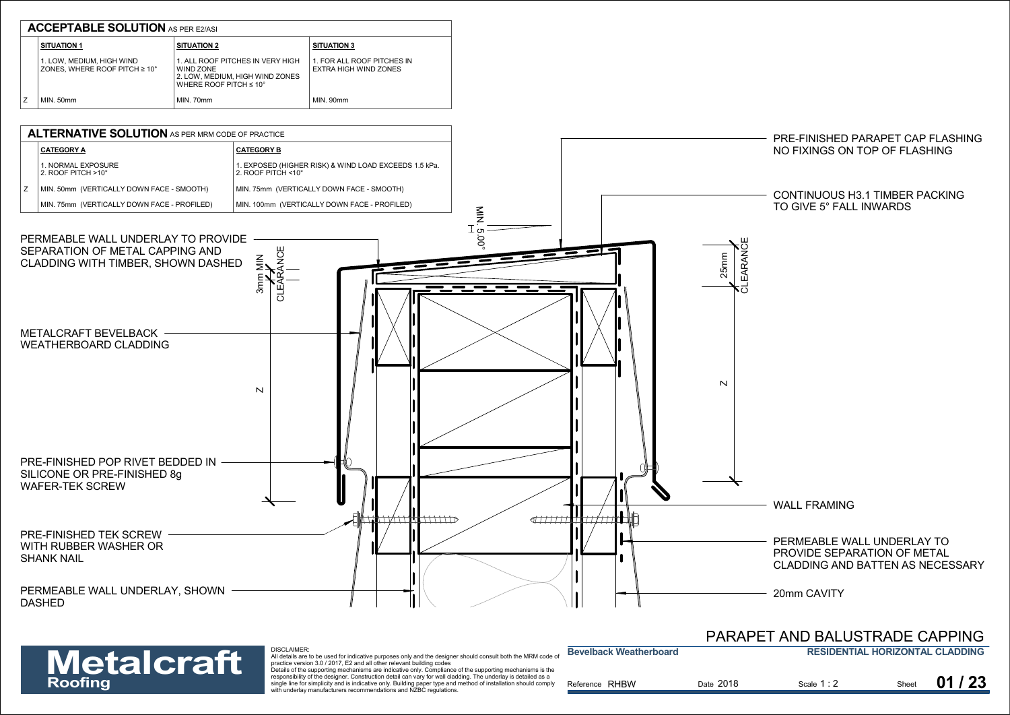

DISCLAIMER:

### **RESIDENTIAL HORIZONTAL CLADDINGBevelback Weatherboard**PARAPET AND BALUSTRADE CAPPING

| <b>Metalcraft</b> | <b>DISCLAIMER.</b><br>All details are to be used for indicative purposes only and the designer should consult both the MRM code of<br>practice version 3.0 / 2017. E2 and all other relevant building codes                                                                                                                                                                                                       | <b>Bevelback Weatherboard</b> |           | <b>RESIDENTIAL HORIZONTAL CLADDING</b> |       |       |
|-------------------|-------------------------------------------------------------------------------------------------------------------------------------------------------------------------------------------------------------------------------------------------------------------------------------------------------------------------------------------------------------------------------------------------------------------|-------------------------------|-----------|----------------------------------------|-------|-------|
| Roofing           | Details of the supporting mechanisms are indicative only. Compliance of the supporting mechanisms is the<br>responsibility of the designer. Construction detail can vary for wall cladding. The underlay is detailed as a<br>single line for simplicity and is indicative only. Building paper type and method of installation should comply<br>with underlay manufacturers recommendations and NZBC regulations. | Reference RHBW                | Date 2018 | Scale 1:2                              | Sheet | 01/23 |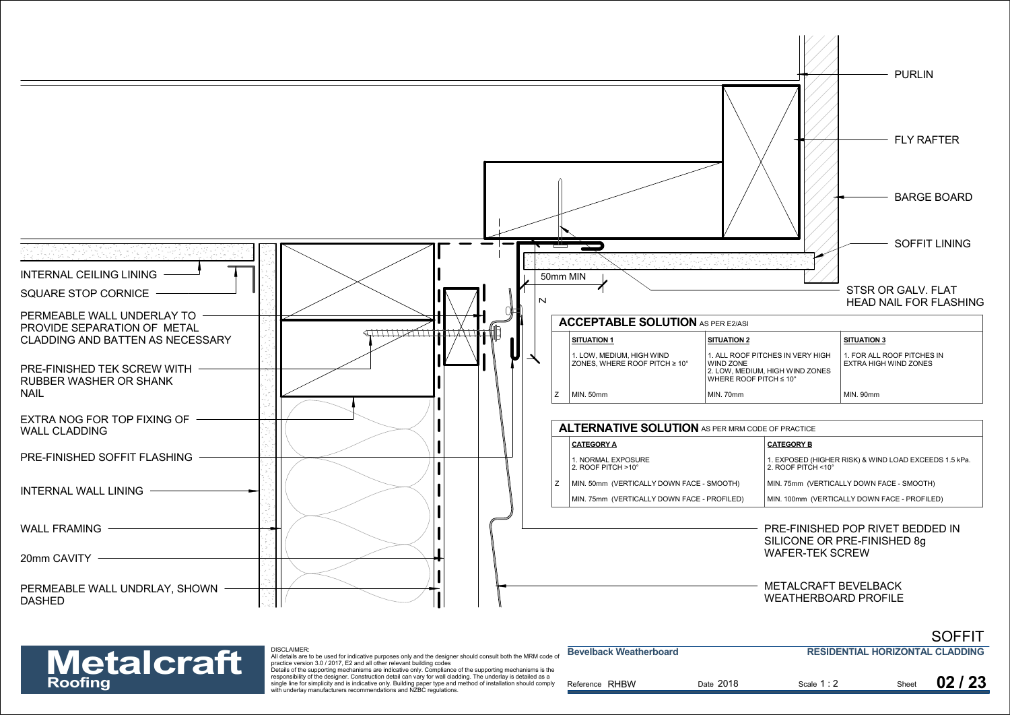



| <b>Metalcraft</b> | <b>DISCLAIMER:</b><br>All details are to be used for indicative purposes only and the designer should consult both the MRM code of<br>practice version 3.0 / 2017. E2 and all other relevant building codes                                                                                                                                                                                                       | <b>Bevelback Weatherboard</b> |           | <b>RESIDENTIAL HORIZONTAL CLADDING</b> |       |       |
|-------------------|-------------------------------------------------------------------------------------------------------------------------------------------------------------------------------------------------------------------------------------------------------------------------------------------------------------------------------------------------------------------------------------------------------------------|-------------------------------|-----------|----------------------------------------|-------|-------|
| Roofing           | Details of the supporting mechanisms are indicative only. Compliance of the supporting mechanisms is the<br>responsibility of the designer. Construction detail can vary for wall cladding. The underlay is detailed as a<br>single line for simplicity and is indicative only. Building paper type and method of installation should comply<br>with underlay manufacturers recommendations and NZBC regulations. | Reference RHBW                | Date 2018 | Scale 1:2                              | Sheet | 02/23 |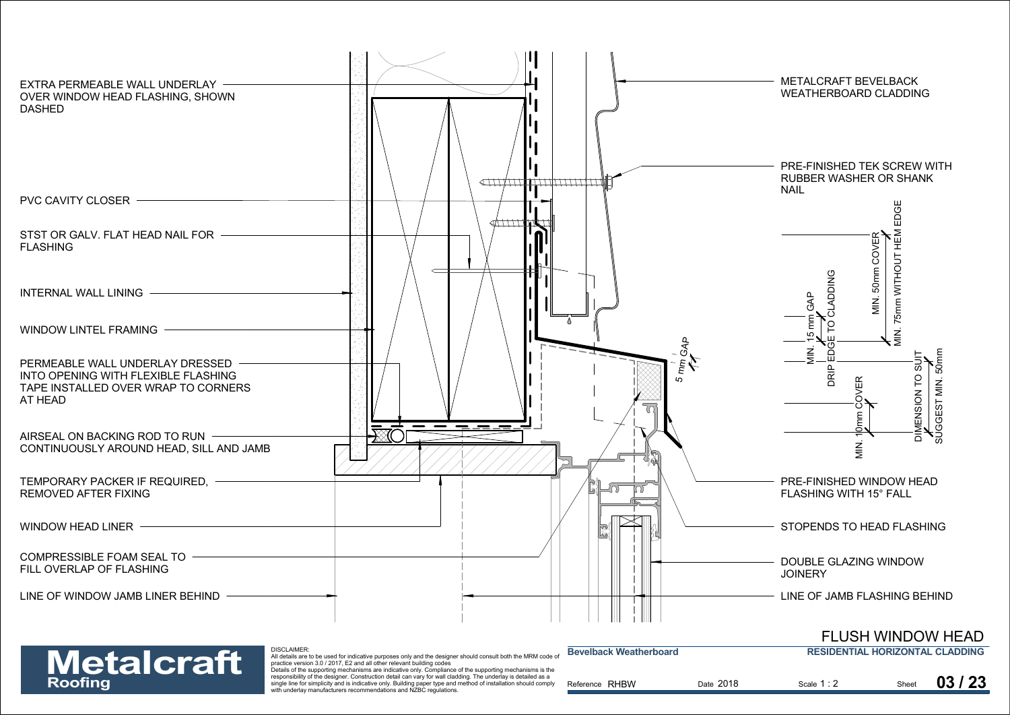



| <b>Metalcraft</b> | DISCLAIMER:<br>All details are to be used for indicative purposes only and the designer should consult both the MRM code of<br>practice version 3.0 / 2017. E2 and all other relevant building codes<br>Details of the supporting mechanisms are indicative only. Compliance of the supporting mechanisms is the | <b>Bevelback Weatherboard</b> |           | <b>RESIDENTIAL HORIZONTAL CLADDING</b> |       |       |
|-------------------|------------------------------------------------------------------------------------------------------------------------------------------------------------------------------------------------------------------------------------------------------------------------------------------------------------------|-------------------------------|-----------|----------------------------------------|-------|-------|
| Roofing           | responsibility of the designer. Construction detail can vary for wall cladding. The underlay is detailed as a<br>single line for simplicity and is indicative only. Building paper type and method of installation should comply<br>with underlay manufacturers recommendations and NZBC regulations.            | Reference RHBW                | Date 2018 | Scale 1:2                              | Sheet | 03/23 |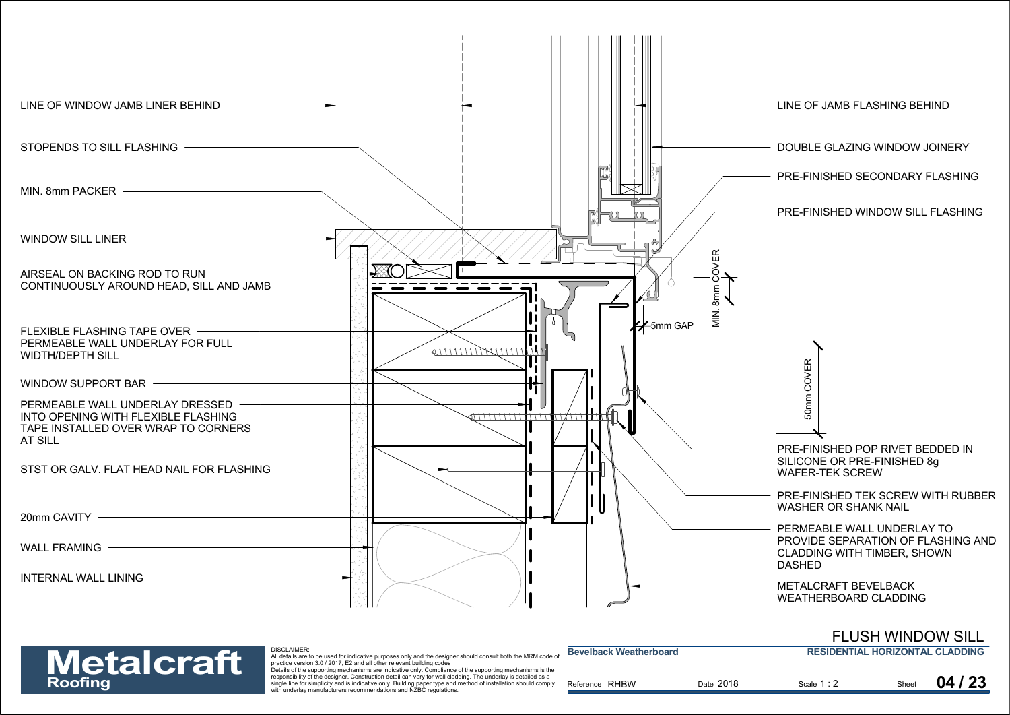

## FLUSH WINDOW SILL



| <b>Metalcraft</b> | <b>DISCLAIMER:</b><br>All details are to be used for indicative purposes only and the designer should consult both the MRM code of<br>practice version 3.0 / 2017. E2 and all other relevant building codes                                                                                                                                                                                                       | <b>Bevelback Weatherboard</b> |           | <b>RESIDENTIAL HORIZONTAL CLADDING</b> |       |       |
|-------------------|-------------------------------------------------------------------------------------------------------------------------------------------------------------------------------------------------------------------------------------------------------------------------------------------------------------------------------------------------------------------------------------------------------------------|-------------------------------|-----------|----------------------------------------|-------|-------|
| Roofing           | Details of the supporting mechanisms are indicative only. Compliance of the supporting mechanisms is the<br>responsibility of the designer. Construction detail can vary for wall cladding. The underlay is detailed as a<br>single line for simplicity and is indicative only. Building paper type and method of installation should comply<br>with underlay manufacturers recommendations and NZBC regulations. | Reference RHBW                | Date 2018 | Scale 1:2                              | Sheet | 04/23 |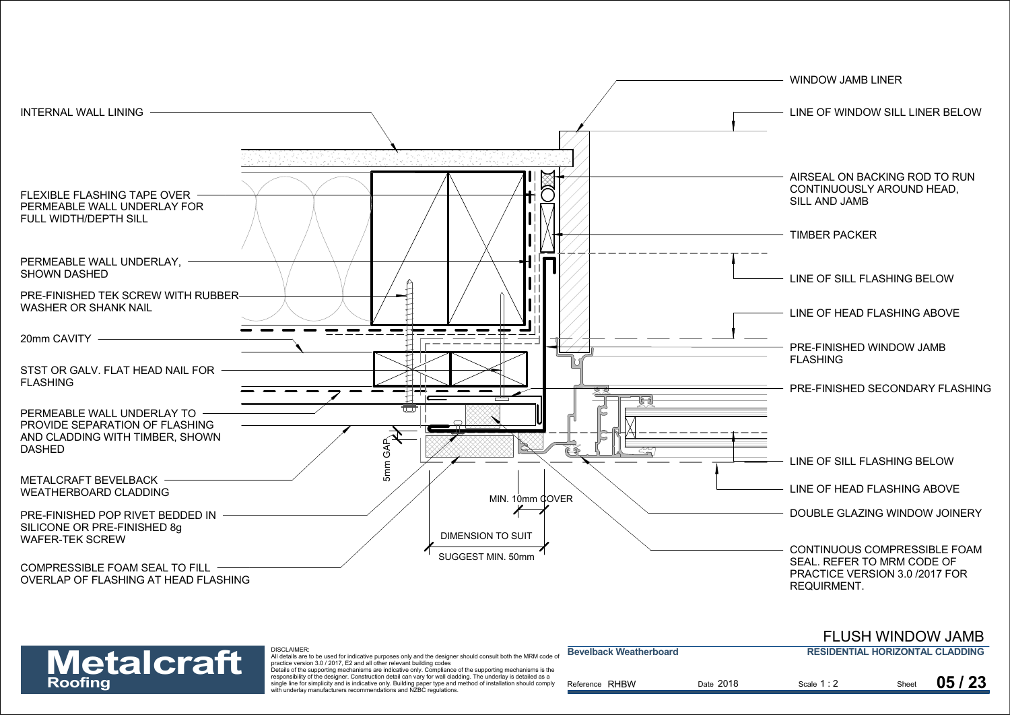



DISCLAIMER:

| <b>Metalcraft</b> | <b>DISCLAIMER</b><br>All details are to be used for indicative purposes only and the designer should consult both the MRM code or<br>practice version 3.0 / 2017. E2 and all other relevant building codes<br>Details of the supporting mechanisms are indicative only. Compliance of the supporting mechanisms is the | <b>Bevelback Weatherboard</b> |           | <b>RESIDENTIAL HORIZONTAL CLADDING</b> |       |       |
|-------------------|------------------------------------------------------------------------------------------------------------------------------------------------------------------------------------------------------------------------------------------------------------------------------------------------------------------------|-------------------------------|-----------|----------------------------------------|-------|-------|
| Roofing           | responsibility of the designer. Construction detail can vary for wall cladding. The underlay is detailed as a<br>single line for simplicity and is indicative only. Building paper type and method of installation should comply<br>with underlay manufacturers recommendations and NZBC regulations.                  | Reference RHBW                | Date 2018 | Scale 1:2                              | Sheet | 05/23 |

FLUSH WINDOW JAMB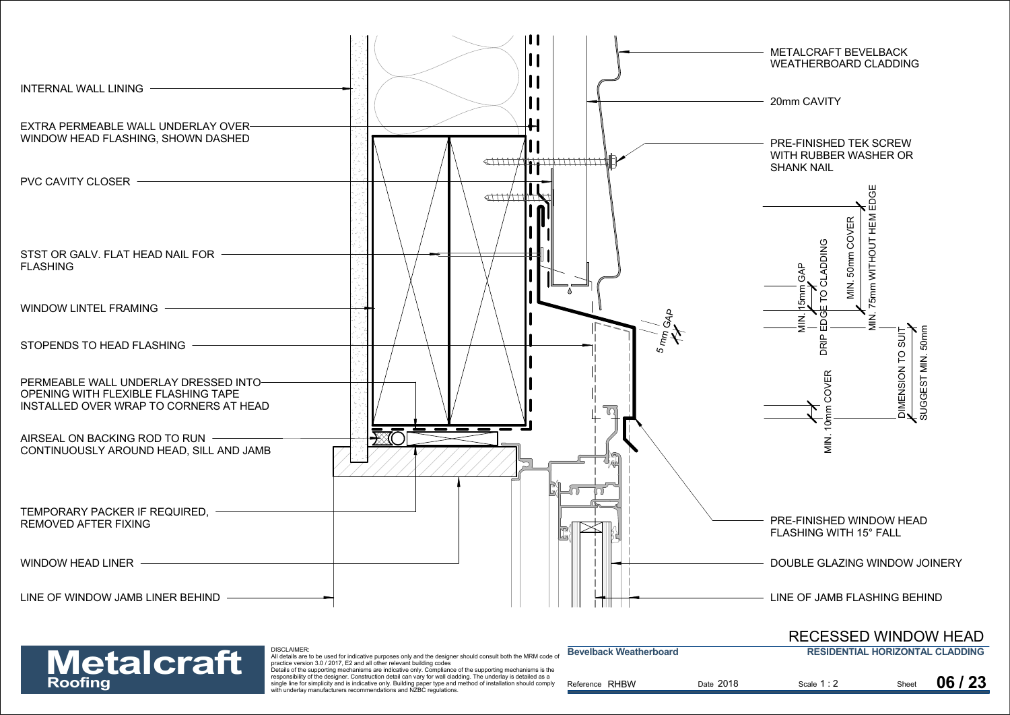

### **RESIDENTIAL HORIZONTAL CLADDING**RECESSED WINDOW HEAD

## **Metalcraft**

DISCLAIMER:<br>All details are to be used for indicative purposes only and the designer should consult both the MRM code of<br>practice version 3.0 / 2017, E2 and all other relevant building codes<br>Details of the supporting mecha

| <b>Metalcraft</b> | <b>UIJULAINER.</b><br>All details are to be used for indicative purposes only and the designer should consult both the MRM code of<br>practice version 3.0 / 2017. E2 and all other relevant building codes<br>Details of the supporting mechanisms are indicative only. Compliance of the supporting mechanisms is the | <b>Bevelback Weatherboard</b> |           | <b>RESIDENTIAL HORIZONTAL CLADDING</b> |       |       |
|-------------------|-------------------------------------------------------------------------------------------------------------------------------------------------------------------------------------------------------------------------------------------------------------------------------------------------------------------------|-------------------------------|-----------|----------------------------------------|-------|-------|
| Roofing           | responsibility of the designer. Construction detail can vary for wall cladding. The underlay is detailed as a<br>single line for simplicity and is indicative only. Building paper type and method of installation should compl<br>with underlay manufacturers recommendations and NZBC regulations.                    | Reference RHBW                | Date 2018 | Scale 1:2                              | Sheet | 06/23 |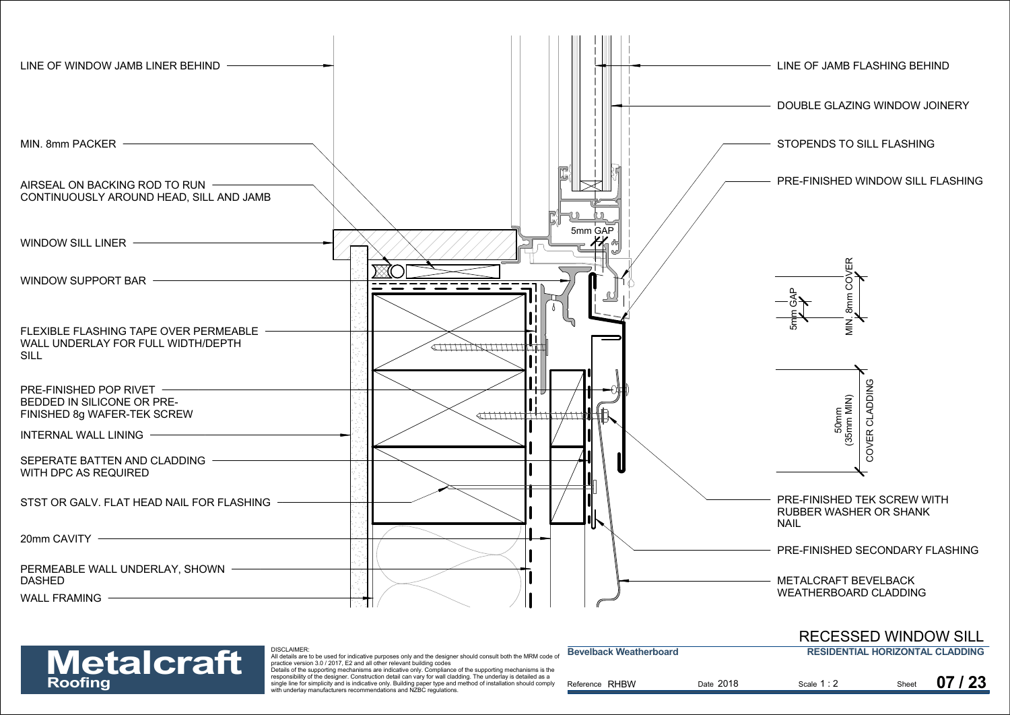



| <b>Metalcraft</b> | DISCLAIMER:<br>All details are to be used for indicative purposes only and the designer should consult both the MRM code of<br>practice version 3.0 / 2017. E2 and all other relevant building codes<br>Details of the supporting mechanisms are indicative only. Compliance of the supporting mechanisms is the | <b>Bevelback Weatherboard</b> |           | <b>RESIDENTIAL HORIZONTAL CLADDING</b> |       |       |
|-------------------|------------------------------------------------------------------------------------------------------------------------------------------------------------------------------------------------------------------------------------------------------------------------------------------------------------------|-------------------------------|-----------|----------------------------------------|-------|-------|
| Roofing           | responsibility of the designer. Construction detail can vary for wall cladding. The underlay is detailed as a<br>single line for simplicity and is indicative only. Building paper type and method of installation should comply<br>with underlay manufacturers recommendations and NZBC regulations.            | Reference RHBW                | Date 2018 | Scale 1:2                              | Sheet | 07/23 |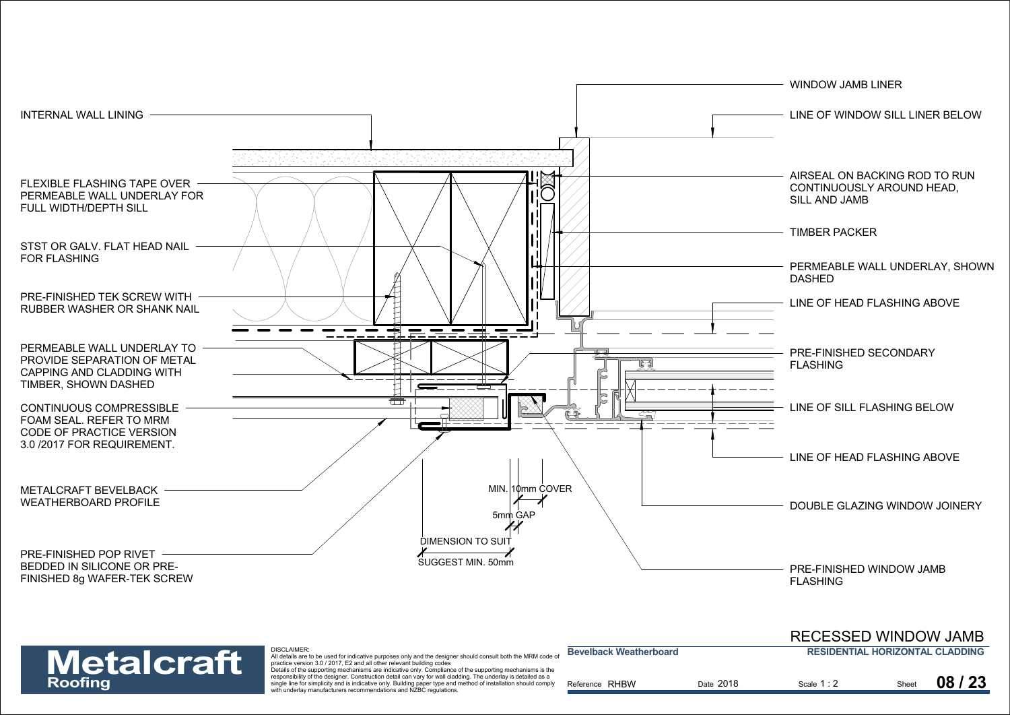

| <b>Metalcraft</b> | DISCLAIMER:<br>All details are to be used for indicative purposes only and the designer should consult both the MRM code of<br>practice version 3.0 / 2017. E2 and all other relevant building codes<br>Details of the supporting mechanisms are indicative only. Compliance of the supporting mechanisms is the | <b>Bevelback Weatherboard</b> |           | <b>RESIDENTIAL HORIZONTAL CLADDING</b> |       |       |
|-------------------|------------------------------------------------------------------------------------------------------------------------------------------------------------------------------------------------------------------------------------------------------------------------------------------------------------------|-------------------------------|-----------|----------------------------------------|-------|-------|
| Roofing           | responsibility of the designer. Construction detail can vary for wall cladding. The underlay is detailed as a<br>single line for simplicity and is indicative only. Building paper type and method of installation should comply<br>with underlay manufacturers recommendations and NZBC regulations.            | Reference RHBW                | Date 2018 | Scale 1:2                              | Sheet | 08/23 |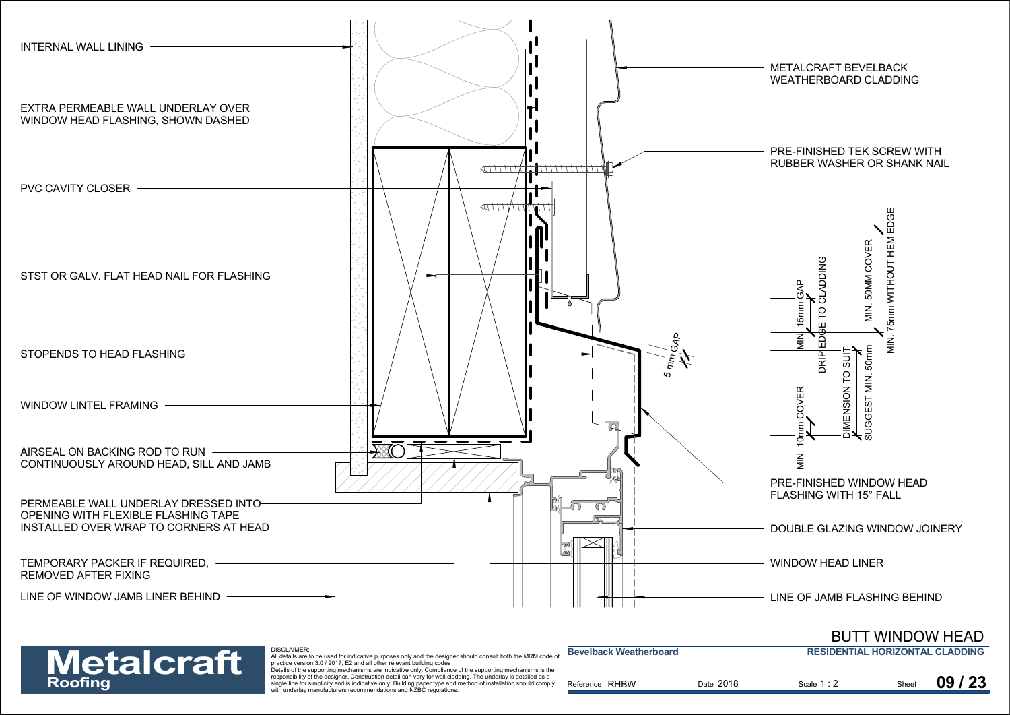

### **RESIDENTIAL HORIZONTAL CLADDING**BUTT WINDOW HEAD

| <b>Metalcraft</b> |  |
|-------------------|--|
| <b>Roofing</b>    |  |

DISCLAIMER:

| <b>Metalcraft</b> | <b>UIJULAINER.</b><br>All details are to be used for indicative purposes only and the designer should consult both the MRM code of<br>practice version 3.0 / 2017. E2 and all other relevant building codes<br>Details of the supporting mechanisms are indicative only. Compliance of the supporting mechanisms is the | <b>Bevelback Weatherboard</b> |           | <b>RESIDENTIAL HORIZONTAL CLADDING</b> |       |         |
|-------------------|-------------------------------------------------------------------------------------------------------------------------------------------------------------------------------------------------------------------------------------------------------------------------------------------------------------------------|-------------------------------|-----------|----------------------------------------|-------|---------|
| Roofing           | responsibility of the designer. Construction detail can vary for wall cladding. The underlay is detailed as a<br>single line for simplicity and is indicative only. Building paper type and method of installation should comply<br>with underlay manufacturers recommendations and NZBC regulations.                   | Reference RHBW                | Date 2018 | Scale 1:2                              | Sheet | 09 / 23 |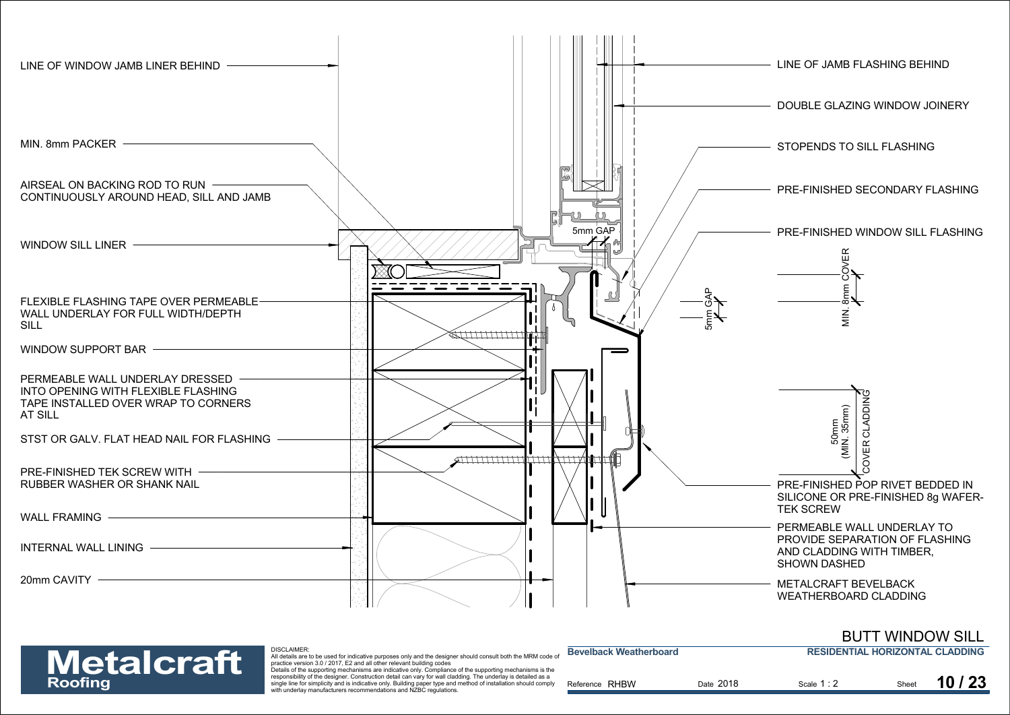

## BUTT WINDOW SILL



| <b>Metalcraft</b> | DISCLAIMER.<br>All details are to be used for indicative purposes only and the designer should consult both the MRM code of<br>practice version 3.0 / 2017. E2 and all other relevant building codes                                                                                                                                                                                                              | <b>Bevelback Weatherboard</b> |           | <b>RESIDENTIAL HORIZONTAL CLADDING</b> |       |       |
|-------------------|-------------------------------------------------------------------------------------------------------------------------------------------------------------------------------------------------------------------------------------------------------------------------------------------------------------------------------------------------------------------------------------------------------------------|-------------------------------|-----------|----------------------------------------|-------|-------|
| Roofing           | Details of the supporting mechanisms are indicative only. Compliance of the supporting mechanisms is the<br>responsibility of the designer. Construction detail can vary for wall cladding. The underlay is detailed as a<br>single line for simplicity and is indicative only. Building paper type and method of installation should comply<br>with underlay manufacturers recommendations and NZBC regulations. | Reference RHBW                | Date 2018 | Scale 1:2                              | Sheet | 10/23 |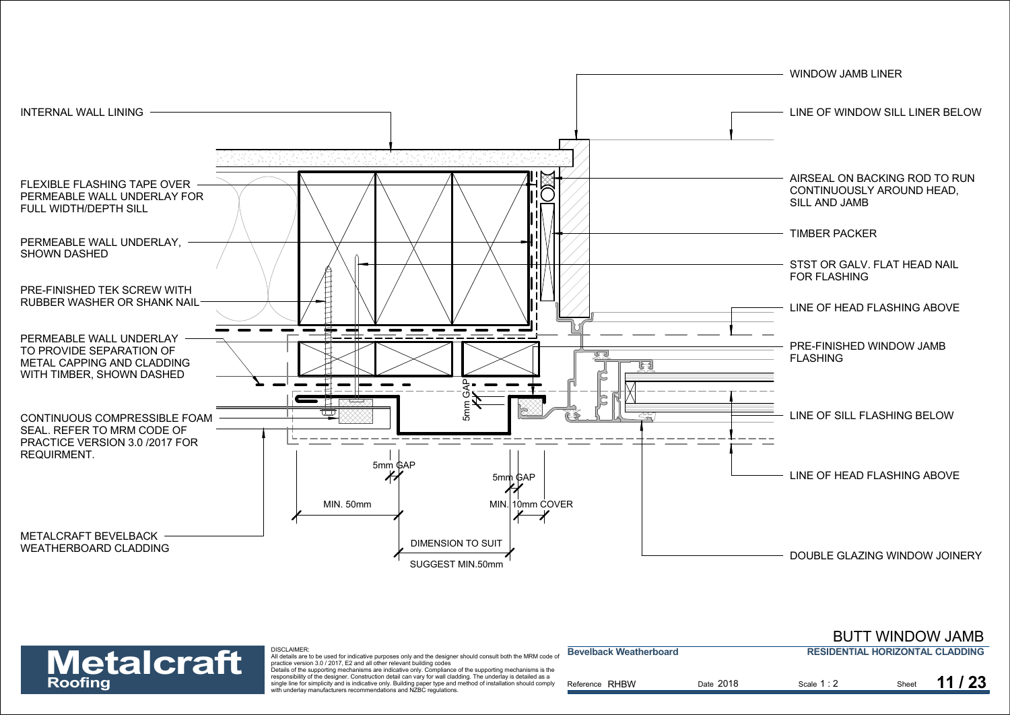

|                   |                                                                                                                                                                                                                                                                                                                         |                               |           | <b>BUTT WINDOW JAMB</b>                |       |  |
|-------------------|-------------------------------------------------------------------------------------------------------------------------------------------------------------------------------------------------------------------------------------------------------------------------------------------------------------------------|-------------------------------|-----------|----------------------------------------|-------|--|
| <b>Metalcraft</b> | <b>DISCLAIMER:</b><br>All details are to be used for indicative purposes only and the designer should consult both the MRM code of<br>practice version 3.0 / 2017, E2 and all other relevant building codes<br>Details of the supporting mechanisms are indicative only. Compliance of the supporting mechanisms is the | <b>Bevelback Weatherboard</b> |           | <b>RESIDENTIAL HORIZONTAL CLADDING</b> |       |  |
| <b>Roofing</b>    | responsibility of the designer. Construction detail can vary for wall cladding. The underlay is detailed as a<br>single line for simplicity and is indicative only. Building paper type and method of installation should comply<br>with underlay manufacturers recommendations and NZBC regulations.                   | Reference RHBW                | Date 2018 | Scale 1:2                              | Sheet |  |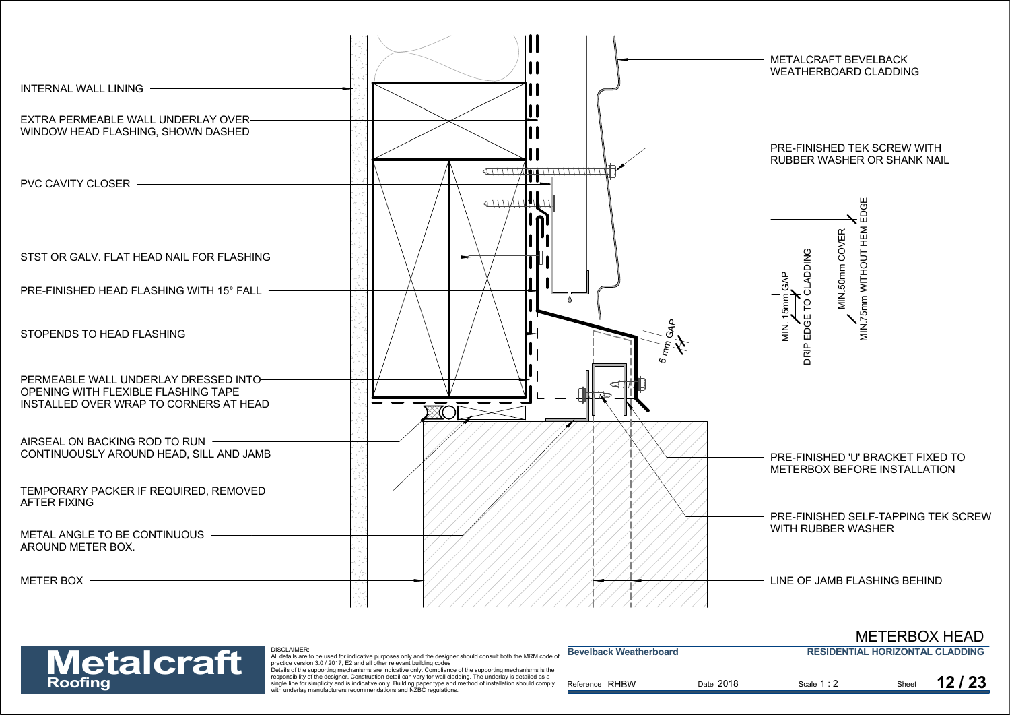



| <b>Metalcraft</b> | <b>DISCLAIMER:</b><br>All details are to be used for indicative purposes only and the designer should consult both the MRM code of<br>practice version 3.0 / 2017. E2 and all other relevant building codes                                                                                                                                                                                                       | <b>Bevelback Weatherboard</b> |           | <b>RESIDENTIAL HORIZONTAL CLADDING</b> |       |  |
|-------------------|-------------------------------------------------------------------------------------------------------------------------------------------------------------------------------------------------------------------------------------------------------------------------------------------------------------------------------------------------------------------------------------------------------------------|-------------------------------|-----------|----------------------------------------|-------|--|
| Roofing           | Details of the supporting mechanisms are indicative only. Compliance of the supporting mechanisms is the<br>responsibility of the designer. Construction detail can vary for wall cladding. The underlay is detailed as a<br>single line for simplicity and is indicative only. Building paper type and method of installation should comply<br>with underlay manufacturers recommendations and NZBC regulations. | Reference RHBW                | Date 2018 | Scale 1:2                              | Sheet |  |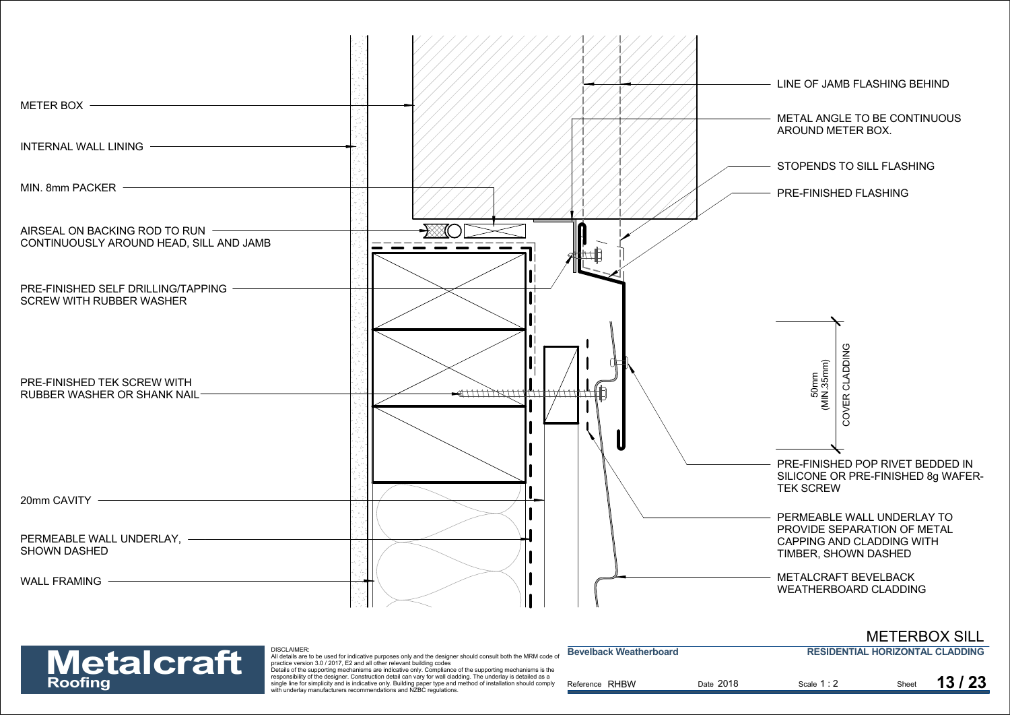

| <b>Metalcraft</b> | DISCLAIMER:<br>All details are to be used for indicative purposes only and the designer should consult both the MRM code of<br>practice version 3.0 / 2017. E2 and all other relevant building codes                                                                                                                                                                                                              | <b>Bevelback Weatherboard</b> |           | <b>RESIDENTIAL HORIZONTAL CLADDING</b> |       |       |
|-------------------|-------------------------------------------------------------------------------------------------------------------------------------------------------------------------------------------------------------------------------------------------------------------------------------------------------------------------------------------------------------------------------------------------------------------|-------------------------------|-----------|----------------------------------------|-------|-------|
| Roofing           | Details of the supporting mechanisms are indicative only. Compliance of the supporting mechanisms is the<br>responsibility of the designer. Construction detail can vary for wall cladding. The underlay is detailed as a<br>single line for simplicity and is indicative only. Building paper type and method of installation should comply<br>with underlay manufacturers recommendations and NZBC regulations. | Reference RHBW                | Date 2018 | Scale 1:2                              | Sheet | 13/23 |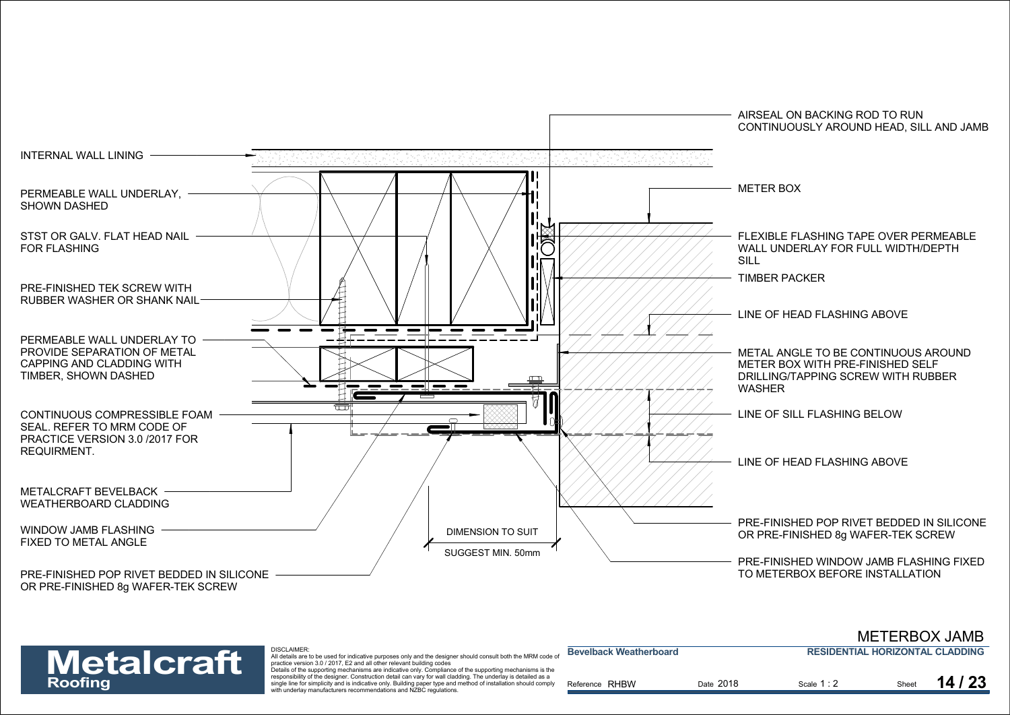

|                   |                                                                                                                                                                                                                                                                                                                         |                               |           |                                        |       | <b>METERBOX JAMB</b> |
|-------------------|-------------------------------------------------------------------------------------------------------------------------------------------------------------------------------------------------------------------------------------------------------------------------------------------------------------------------|-------------------------------|-----------|----------------------------------------|-------|----------------------|
| <b>Metalcraft</b> | <b>DISCLAIMER:</b><br>All details are to be used for indicative purposes only and the designer should consult both the MRM code of<br>practice version 3.0 / 2017, E2 and all other relevant building codes<br>Details of the supporting mechanisms are indicative only. Compliance of the supporting mechanisms is the | <b>Bevelback Weatherboard</b> |           | <b>RESIDENTIAL HORIZONTAL CLADDING</b> |       |                      |
| Roofing           | responsibility of the designer. Construction detail can vary for wall cladding. The underlay is detailed as a<br>single line for simplicity and is indicative only. Building paper type and method of installation should comply<br>with underlay manufacturers recommendations and NZBC regulations.                   | Reference RHBW                | Date 2018 | Scale 1:2                              | Sheet | 14/23                |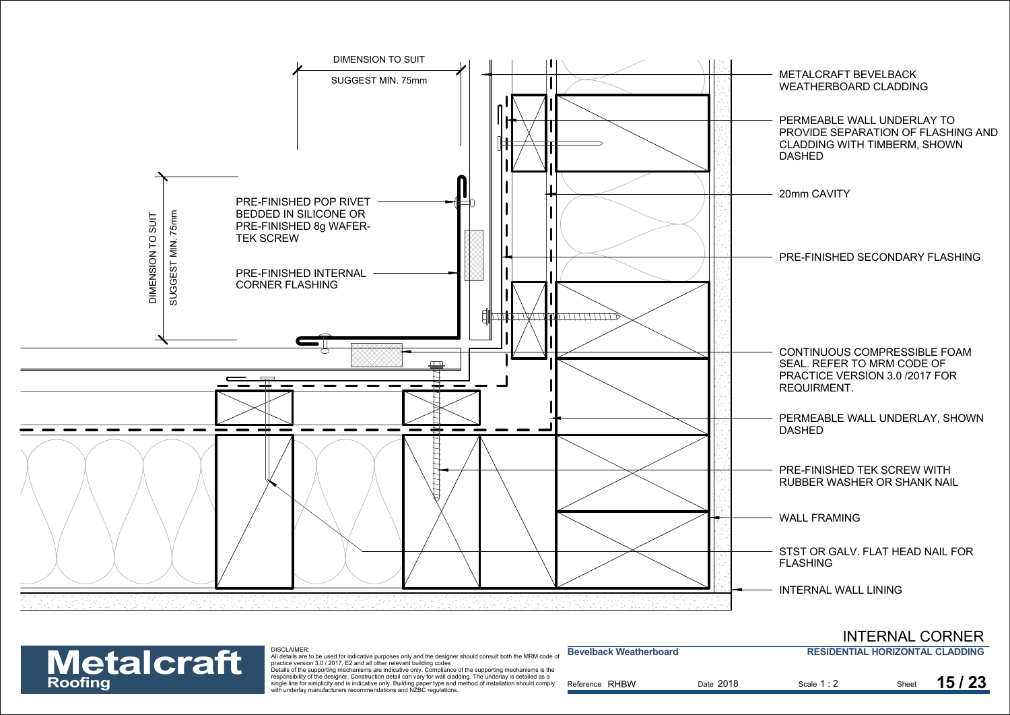

| <b>Metalcraft</b> | DISCLAIMER:<br>All details are to be used for indicative purposes only and the designer should consult both the MRM code of<br>practice version 3.0 / 2017. E2 and all other relevant building codes<br>Details of the supporting mechanisms are indicative only. Compliance of the supporting mechanisms is the | <b>Bevelback Weatherboard</b> | <b>RESIDENTIAL HORIZONTAL CLADDING</b> |           |       |       |
|-------------------|------------------------------------------------------------------------------------------------------------------------------------------------------------------------------------------------------------------------------------------------------------------------------------------------------------------|-------------------------------|----------------------------------------|-----------|-------|-------|
| Roofing           | responsibility of the designer. Construction detail can vary for wall cladding. The underlay is detailed as a<br>single line for simplicity and is indicative only. Building paper type and method of installation should comply<br>with underlay manufacturers recommendations and NZBC regulations.            | Reference RHBW                | Date 2018                              | Scale 1:2 | Sheet | 15/23 |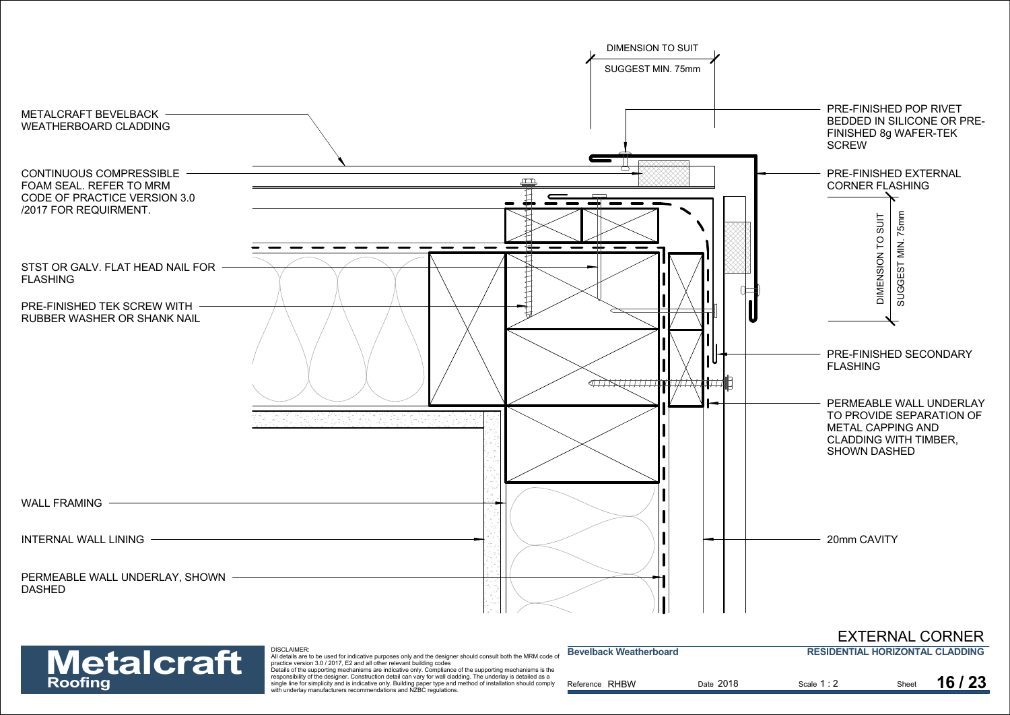

## EXTERNAL CORNER

**RESIDENTIAL HORIZONTAL CLADDING**

| <b>Metalcraft</b> |  |
|-------------------|--|
| Roofing           |  |

DISCLAIMER:

| <b>Metalcraft</b> | <b>DISCLAIMER.</b><br>All details are to be used for indicative purposes only and the designer should consult both the MRM code of                                                                                                                                                                                                                                                                                    | Bevelback Weatherboard |           | <b>RESIDENTIAL HORIZONTAL CLADDING</b> |       |
|-------------------|-----------------------------------------------------------------------------------------------------------------------------------------------------------------------------------------------------------------------------------------------------------------------------------------------------------------------------------------------------------------------------------------------------------------------|------------------------|-----------|----------------------------------------|-------|
| Roofing           | practice version 3.0 / 2017. E2 and all other relevant building codes<br>Details of the supporting mechanisms are indicative only. Compliance of the supporting mechanisms is the<br>responsibility of the designer. Construction detail can vary for wall cladding. The underlay is detailed as a<br>single line for simplicity and is indicative only. Building paper type and method of installation should comply | Reference RHBW         | Date 2018 | Scale 1:2                              | 16/23 |
|                   | with underlay manufacturers recommendations and NZBC regulations.                                                                                                                                                                                                                                                                                                                                                     |                        |           |                                        |       |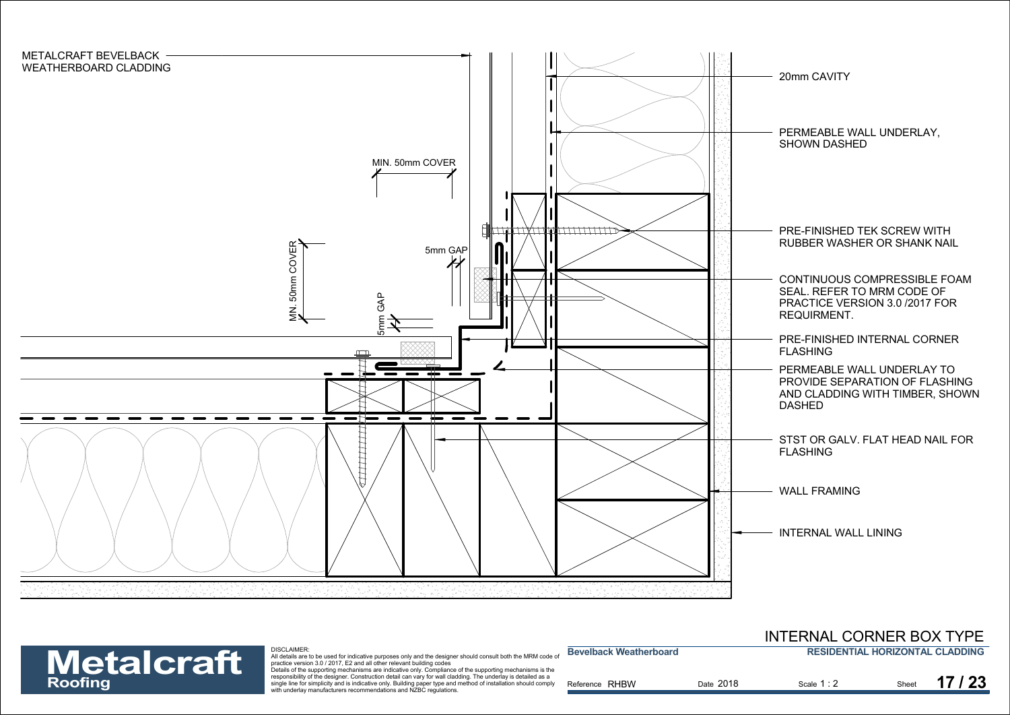



| INTERNAL CORNER BOX TYPE |  |                                        |  |  |
|--------------------------|--|----------------------------------------|--|--|
|                          |  | <b>DECIDENTIAL HODIZONTAL CLADDING</b> |  |  |

| <b>Metalcraft</b> | <b>DISCLAIMER</b><br>All details are to be used for indicative purposes only and the designer should consult both the MRM code or<br>practice version 3.0 / 2017. E2 and all other relevant building codes                       | <b>Bevelback Weatherboard</b> |           | <b>RESIDENTIAL HORIZONTAL CLADDING</b> |       |       |
|-------------------|----------------------------------------------------------------------------------------------------------------------------------------------------------------------------------------------------------------------------------|-------------------------------|-----------|----------------------------------------|-------|-------|
|                   | Details of the supporting mechanisms are indicative only. Compliance of the supporting mechanisms is the                                                                                                                         |                               |           |                                        |       |       |
| Roofing           | responsibility of the designer. Construction detail can vary for wall cladding. The underlay is detailed as a<br>single line for simplicity and is indicative only. Building paper type and method of installation should comply | Reference RHBW                | Date 2018 | Scale 1:2                              | Sheet | 17/23 |
|                   | with underlay manufacturers recommendations and NZBC regulations.                                                                                                                                                                |                               |           |                                        |       |       |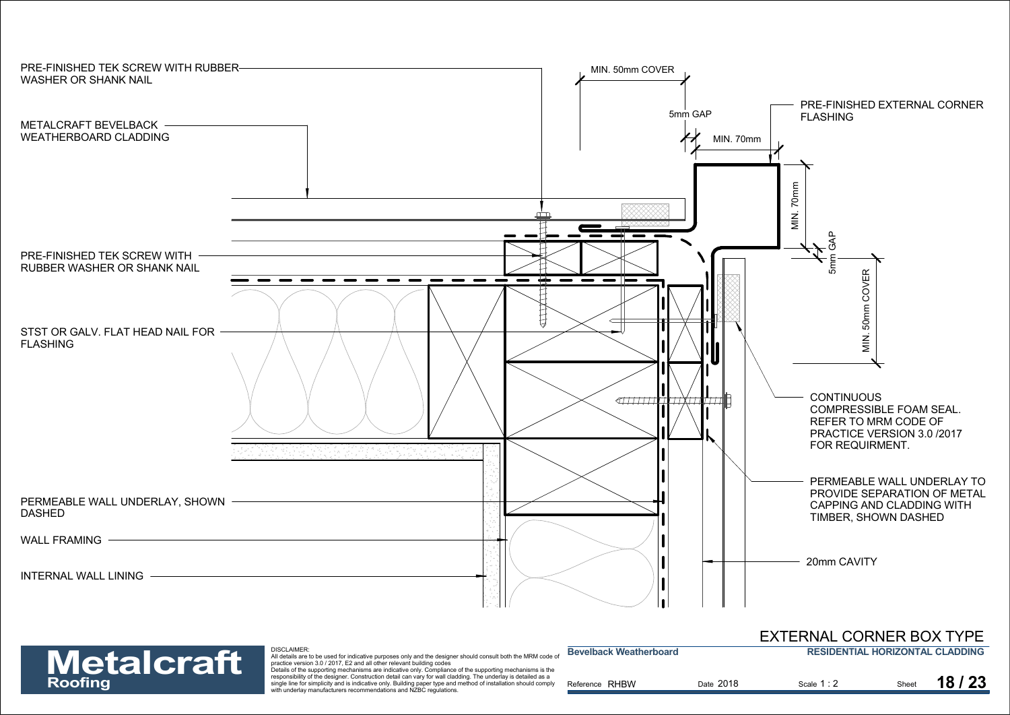

| <b>Metalcraft</b> | <b>DISCLAIMER:</b><br>All details are to be used for indicative purposes only and the designer should consult both the MRM code of<br>practice version 3.0 / 2017. E2 and all other relevant building codes                                                                                                                                                                                                       | <b>Bevelback Weatherboard</b> |           | <b>RESIDENTIAL HORIZONTAL CLADDING</b> |       |
|-------------------|-------------------------------------------------------------------------------------------------------------------------------------------------------------------------------------------------------------------------------------------------------------------------------------------------------------------------------------------------------------------------------------------------------------------|-------------------------------|-----------|----------------------------------------|-------|
| Roofing           | Details of the supporting mechanisms are indicative only. Compliance of the supporting mechanisms is the<br>responsibility of the designer. Construction detail can vary for wall cladding. The underlay is detailed as a<br>single line for simplicity and is indicative only. Building paper type and method of installation should comply<br>with underlay manufacturers recommendations and NZBC regulations. | Reference RHBW                | Date 2018 | Scale 1:2                              | 18/23 |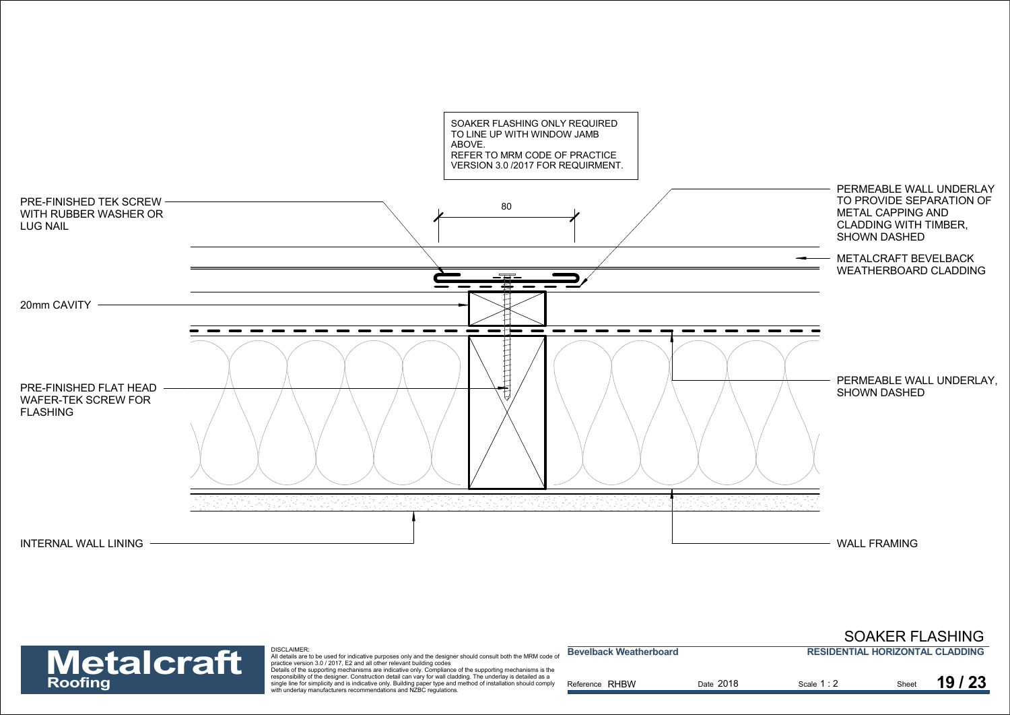

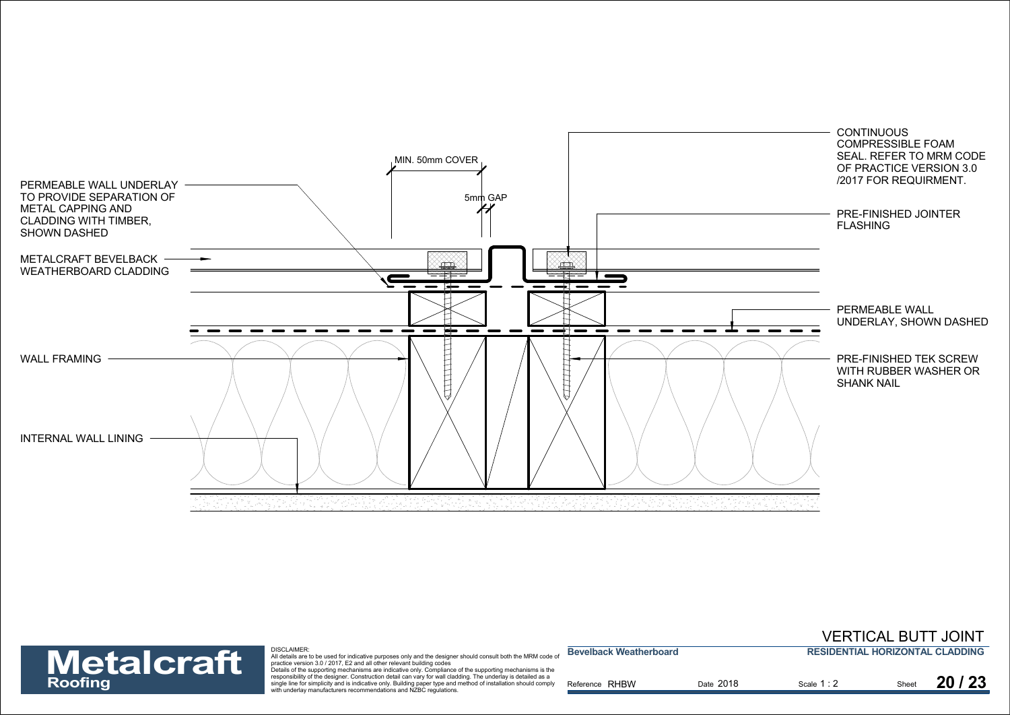



| <b>Metalcraft</b> | DISCLAIMER:<br>All details are to be used for indicative purposes only and the designer should consult both the MRM code o<br>practice version 3.0 / 2017. E2 and all other relevant building codes<br>Details of the supporting mechanisms are indicative only. Compliance of the supporting mechanisms is the | <b>Bevelback Weatherboard</b> |           | <b>RESIDENTIAL HORIZONTAL CLADDING</b> |  |       |
|-------------------|-----------------------------------------------------------------------------------------------------------------------------------------------------------------------------------------------------------------------------------------------------------------------------------------------------------------|-------------------------------|-----------|----------------------------------------|--|-------|
| Roofing           | responsibility of the designer. Construction detail can vary for wall cladding. The underlay is detailed as a<br>single line for simplicity and is indicative only. Building paper type and method of installation should comply<br>with underlay manufacturers recommendations and NZBC regulations.           | Reference RHBW                | Date 2018 | Scale 1:2                              |  | 20/23 |

VERTICAL BUTT JOINT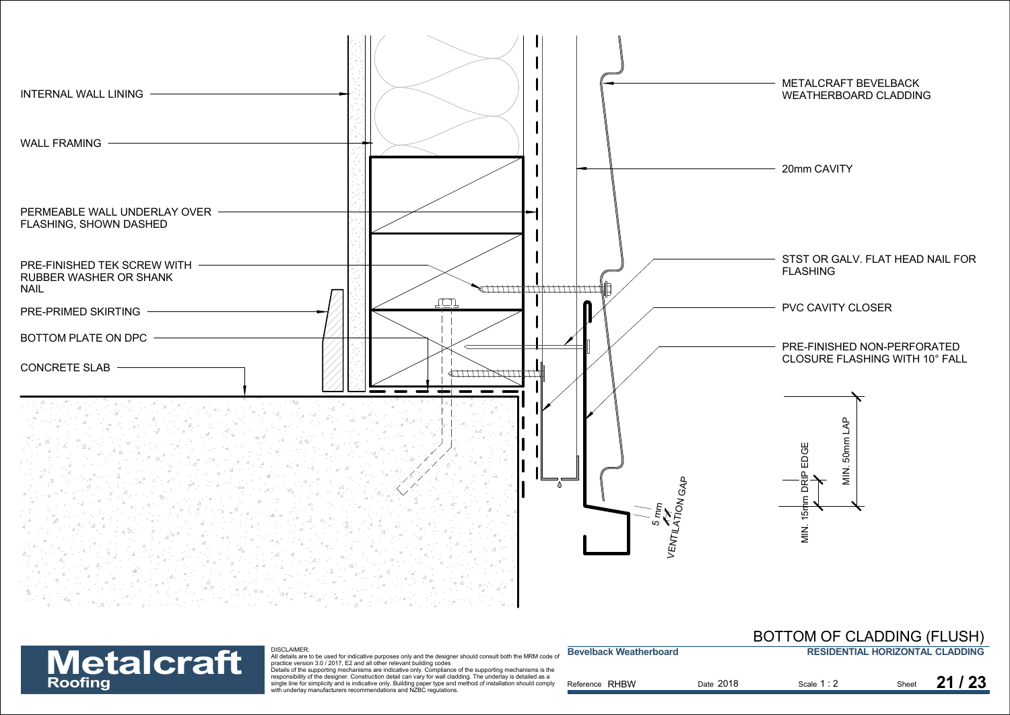

**Bevelback Weatherboard**

## **MCCYCLES DENTIAL HORIZONTAL CLADDIN**<br>District a set to be used for indicative purposes only and the designer should consult both the MRM code of<br>Details are to be used for indicative purposes only and the designer should **Metalcraft**

## **RESIDENTIAL HORIZONTAL CLADDING**BOTTOM OF CLADDING (FLUSH)

| INIGRAPI GIR | Details of the supporting mechanisms are indicative only. Compliance of the supporting mechanisms is the        |                   |           |           |       |
|--------------|-----------------------------------------------------------------------------------------------------------------|-------------------|-----------|-----------|-------|
|              | responsibility of the designer. Construction detail can vary for wall cladding. The underlay is detailed as a   |                   |           |           |       |
| Roofing      | single line for simplicity and is indicative only. Building paper type and method of installation should comply | RHBW<br>Reference | Date 2018 | Scale 1:2 | 21/23 |
|              | with underlay manufacturers recommendations and NZBC regulations.                                               |                   |           |           |       |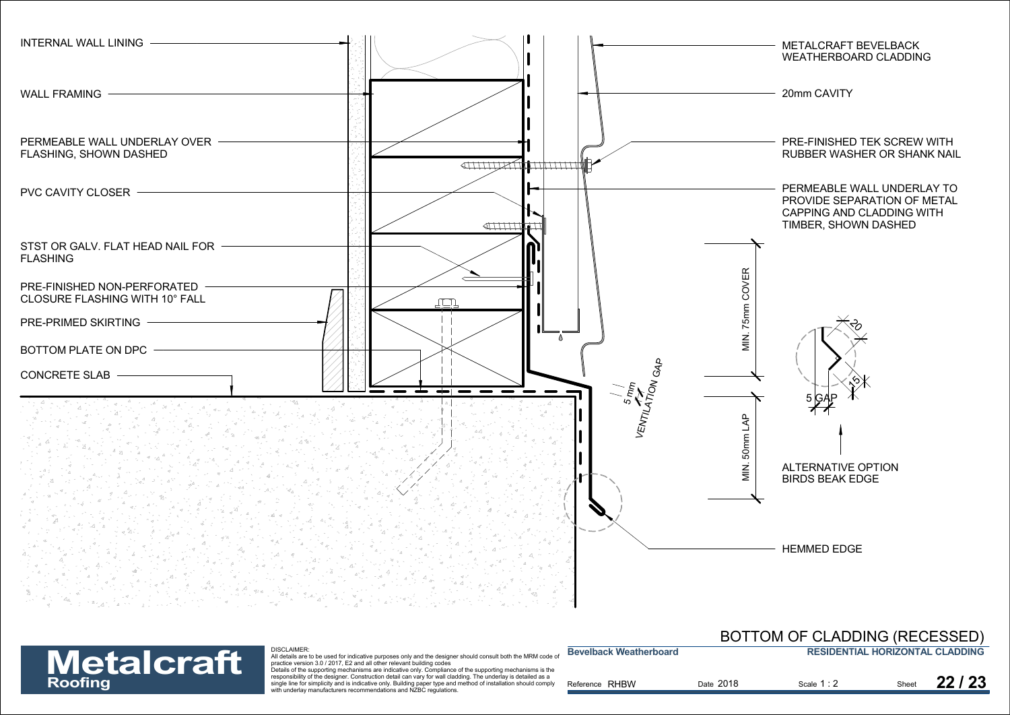



| <b>Metalcraft</b> | <b>DISCLAIMER:</b><br>All details are to be used for indicative purposes only and the designer should consult both the MRM code of<br>practice version 3.0 / 2017. E2 and all other relevant building codes                                                                                                                                                                                                       | <b>Bevelback Weatherboard</b> |           | <b>RESIDENTIAL HORIZONTAL CLADDING</b> |       |
|-------------------|-------------------------------------------------------------------------------------------------------------------------------------------------------------------------------------------------------------------------------------------------------------------------------------------------------------------------------------------------------------------------------------------------------------------|-------------------------------|-----------|----------------------------------------|-------|
| Roofing           | Details of the supporting mechanisms are indicative only. Compliance of the supporting mechanisms is the<br>responsibility of the designer. Construction detail can vary for wall cladding. The underlay is detailed as a<br>single line for simplicity and is indicative only. Building paper type and method of installation should comply<br>with underlay manufacturers recommendations and NZBC regulations. | Reference RHBW                | Date 2018 | Scale 1:2                              | 22/23 |